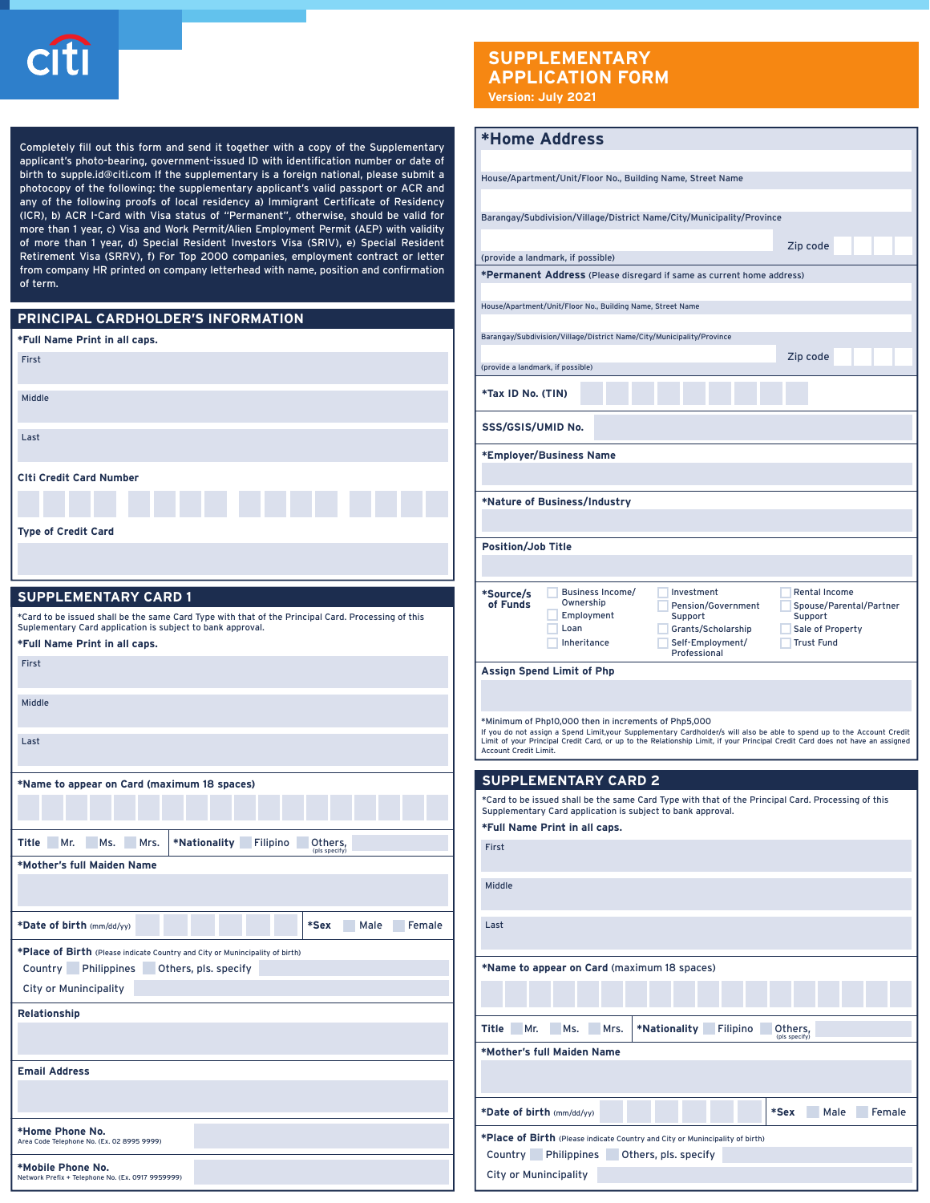

Completely fill out this form and send it together with a copy of the Supplementary applicant's photo-bearing, government-issued ID with identification number or date of birth to supple.id@citi.com If the supplementary is a foreign national, please submit a photocopy of the following: the supplementary applicant's valid passport or ACR and any of the following proofs of local residency a) Immigrant Certificate of Residency (ICR), b) ACR I-Card with Visa status of "Permanent", otherwise, should be valid for more than 1 year, c) Visa and Work Permit/Alien Employment Permit (AEP) with validity of more than 1 year, d) Special Resident Investors Visa (SRIV), e) Special Resident Retirement Visa (SRRV), f) For Top 2000 companies, employment contract or letter from company HR printed on company letterhead with name, position and confirmation of term.

# **PRINCIPAL CARDHOLDER'S INFORMATION**

| *Full Name Print in all caps.                                                                                                                                    |
|------------------------------------------------------------------------------------------------------------------------------------------------------------------|
| First                                                                                                                                                            |
| <b>Middle</b>                                                                                                                                                    |
| Last                                                                                                                                                             |
| <b>Citi Credit Card Number</b>                                                                                                                                   |
|                                                                                                                                                                  |
| <b>Type of Credit Card</b>                                                                                                                                       |
|                                                                                                                                                                  |
|                                                                                                                                                                  |
| <b>SUPPLEMENTARY CARD 1</b>                                                                                                                                      |
| *Card to be issued shall be the same Card Type with that of the Principal Card. Processing of this<br>Suplementary Card application is subject to bank approval. |
| *Full Name Print in all caps.                                                                                                                                    |
| First                                                                                                                                                            |
| Middle                                                                                                                                                           |
|                                                                                                                                                                  |
| Last                                                                                                                                                             |
| *Name to appear on Card (maximum 18 spaces)                                                                                                                      |
|                                                                                                                                                                  |
| Mr.<br>Ms.<br>*Nationality Filipino<br>Title<br>Mrs.<br>Others,                                                                                                  |
| (pls specify)<br>*Mother's full Maiden Name                                                                                                                      |
|                                                                                                                                                                  |
| *Sex<br>Male<br>*Date of birth (mm/dd/yy)<br>Female                                                                                                              |
| *Place of Birth (Please indicate Country and City or Munincipality of birth)                                                                                     |
| Country Philippines Others, pls. specify                                                                                                                         |
| <b>City or Munincipality</b>                                                                                                                                     |
| Relationship                                                                                                                                                     |
| <b>Email Address</b>                                                                                                                                             |
|                                                                                                                                                                  |
| *Home Phone No.<br>Area Code Telephone No. (Ex. 02 8995 9999)                                                                                                    |
| *Mobile Phone No.<br>Network Prefix + Telephone No. (Ex. 0917 9959999)                                                                                           |

# **SUPPLEMENTARY APPLICATION FORM**

**Version: July 2021**

| House/Apartment/Unit/Floor No., Building Name, Street Name<br>Barangay/Subdivision/Village/District Name/City/Municipality/Province<br>Zip code<br>(provide a landmark, if possible)<br>*Permanent Address (Please disregard if same as current home address)<br>House/Apartment/Unit/Floor No., Building Name, Street Name<br>Barangay/Subdivision/Village/District Name/City/Municipality/Province<br>Zip code<br>(provide a landmark, if possible)<br>*Tax ID No. (TIN)<br>SSS/GSIS/UMID No.<br>*Employer/Business Name<br>*Nature of Business/Industry<br><b>Position/Job Title</b><br><b>Business Income/</b><br>Investment<br>Rental Income<br>*Source/s<br>Ownership<br>of Funds<br>Pension/Government<br>Spouse/Parental/Partner<br>Employment<br>Support<br>Support<br>Loan<br>Grants/Scholarship<br>Sale of Property<br>Inheritance<br>Self-Employment/<br><b>Trust Fund</b><br>Professional<br><b>Assign Spend Limit of Php</b><br>*Minimum of Php10,000 then in increments of Php5,000<br>If you do not assign a Spend Limit, your Supplementary Cardholder/s will also be able to spend up to the Account Credit<br>Limit of your Principal Credit Card, or up to the Relationship Limit, if your Principal Credit Card does not have an assigned<br>Account Credit Limit.<br><b>SUPPLEMENTARY CARD 2</b><br>*Card to be issued shall be the same Card Type with that of the Principal Card. Processing of this<br>Supplementary Card application is subject to bank approval.<br>*Full Name Print in all caps.<br>First<br>Middle<br>Last<br>*Name to appear on Card (maximum 18 spaces)<br>Mr.<br>Title<br>Ms.<br>Mrs.<br>*Nationality Filipino<br>Others,<br>Male<br>*Sex<br>Female | Country Philippines Others, pls. specify |  |
|-----------------------------------------------------------------------------------------------------------------------------------------------------------------------------------------------------------------------------------------------------------------------------------------------------------------------------------------------------------------------------------------------------------------------------------------------------------------------------------------------------------------------------------------------------------------------------------------------------------------------------------------------------------------------------------------------------------------------------------------------------------------------------------------------------------------------------------------------------------------------------------------------------------------------------------------------------------------------------------------------------------------------------------------------------------------------------------------------------------------------------------------------------------------------------------------------------------------------------------------------------------------------------------------------------------------------------------------------------------------------------------------------------------------------------------------------------------------------------------------------------------------------------------------------------------------------------------------------------------------------------------------------------------------------------------------------------|------------------------------------------|--|
|                                                                                                                                                                                                                                                                                                                                                                                                                                                                                                                                                                                                                                                                                                                                                                                                                                                                                                                                                                                                                                                                                                                                                                                                                                                                                                                                                                                                                                                                                                                                                                                                                                                                                                     |                                          |  |
|                                                                                                                                                                                                                                                                                                                                                                                                                                                                                                                                                                                                                                                                                                                                                                                                                                                                                                                                                                                                                                                                                                                                                                                                                                                                                                                                                                                                                                                                                                                                                                                                                                                                                                     |                                          |  |
|                                                                                                                                                                                                                                                                                                                                                                                                                                                                                                                                                                                                                                                                                                                                                                                                                                                                                                                                                                                                                                                                                                                                                                                                                                                                                                                                                                                                                                                                                                                                                                                                                                                                                                     |                                          |  |
|                                                                                                                                                                                                                                                                                                                                                                                                                                                                                                                                                                                                                                                                                                                                                                                                                                                                                                                                                                                                                                                                                                                                                                                                                                                                                                                                                                                                                                                                                                                                                                                                                                                                                                     |                                          |  |
|                                                                                                                                                                                                                                                                                                                                                                                                                                                                                                                                                                                                                                                                                                                                                                                                                                                                                                                                                                                                                                                                                                                                                                                                                                                                                                                                                                                                                                                                                                                                                                                                                                                                                                     |                                          |  |
|                                                                                                                                                                                                                                                                                                                                                                                                                                                                                                                                                                                                                                                                                                                                                                                                                                                                                                                                                                                                                                                                                                                                                                                                                                                                                                                                                                                                                                                                                                                                                                                                                                                                                                     |                                          |  |
|                                                                                                                                                                                                                                                                                                                                                                                                                                                                                                                                                                                                                                                                                                                                                                                                                                                                                                                                                                                                                                                                                                                                                                                                                                                                                                                                                                                                                                                                                                                                                                                                                                                                                                     |                                          |  |
|                                                                                                                                                                                                                                                                                                                                                                                                                                                                                                                                                                                                                                                                                                                                                                                                                                                                                                                                                                                                                                                                                                                                                                                                                                                                                                                                                                                                                                                                                                                                                                                                                                                                                                     |                                          |  |
|                                                                                                                                                                                                                                                                                                                                                                                                                                                                                                                                                                                                                                                                                                                                                                                                                                                                                                                                                                                                                                                                                                                                                                                                                                                                                                                                                                                                                                                                                                                                                                                                                                                                                                     |                                          |  |
|                                                                                                                                                                                                                                                                                                                                                                                                                                                                                                                                                                                                                                                                                                                                                                                                                                                                                                                                                                                                                                                                                                                                                                                                                                                                                                                                                                                                                                                                                                                                                                                                                                                                                                     |                                          |  |
|                                                                                                                                                                                                                                                                                                                                                                                                                                                                                                                                                                                                                                                                                                                                                                                                                                                                                                                                                                                                                                                                                                                                                                                                                                                                                                                                                                                                                                                                                                                                                                                                                                                                                                     |                                          |  |
|                                                                                                                                                                                                                                                                                                                                                                                                                                                                                                                                                                                                                                                                                                                                                                                                                                                                                                                                                                                                                                                                                                                                                                                                                                                                                                                                                                                                                                                                                                                                                                                                                                                                                                     |                                          |  |
|                                                                                                                                                                                                                                                                                                                                                                                                                                                                                                                                                                                                                                                                                                                                                                                                                                                                                                                                                                                                                                                                                                                                                                                                                                                                                                                                                                                                                                                                                                                                                                                                                                                                                                     |                                          |  |
|                                                                                                                                                                                                                                                                                                                                                                                                                                                                                                                                                                                                                                                                                                                                                                                                                                                                                                                                                                                                                                                                                                                                                                                                                                                                                                                                                                                                                                                                                                                                                                                                                                                                                                     |                                          |  |
|                                                                                                                                                                                                                                                                                                                                                                                                                                                                                                                                                                                                                                                                                                                                                                                                                                                                                                                                                                                                                                                                                                                                                                                                                                                                                                                                                                                                                                                                                                                                                                                                                                                                                                     |                                          |  |
|                                                                                                                                                                                                                                                                                                                                                                                                                                                                                                                                                                                                                                                                                                                                                                                                                                                                                                                                                                                                                                                                                                                                                                                                                                                                                                                                                                                                                                                                                                                                                                                                                                                                                                     |                                          |  |
|                                                                                                                                                                                                                                                                                                                                                                                                                                                                                                                                                                                                                                                                                                                                                                                                                                                                                                                                                                                                                                                                                                                                                                                                                                                                                                                                                                                                                                                                                                                                                                                                                                                                                                     |                                          |  |
|                                                                                                                                                                                                                                                                                                                                                                                                                                                                                                                                                                                                                                                                                                                                                                                                                                                                                                                                                                                                                                                                                                                                                                                                                                                                                                                                                                                                                                                                                                                                                                                                                                                                                                     |                                          |  |
|                                                                                                                                                                                                                                                                                                                                                                                                                                                                                                                                                                                                                                                                                                                                                                                                                                                                                                                                                                                                                                                                                                                                                                                                                                                                                                                                                                                                                                                                                                                                                                                                                                                                                                     |                                          |  |
|                                                                                                                                                                                                                                                                                                                                                                                                                                                                                                                                                                                                                                                                                                                                                                                                                                                                                                                                                                                                                                                                                                                                                                                                                                                                                                                                                                                                                                                                                                                                                                                                                                                                                                     |                                          |  |
|                                                                                                                                                                                                                                                                                                                                                                                                                                                                                                                                                                                                                                                                                                                                                                                                                                                                                                                                                                                                                                                                                                                                                                                                                                                                                                                                                                                                                                                                                                                                                                                                                                                                                                     |                                          |  |
| *Mother's full Maiden Name<br>*Date of birth (mm/dd/yy)<br>*Place of Birth (Please indicate Country and City or Munincipality of birth)                                                                                                                                                                                                                                                                                                                                                                                                                                                                                                                                                                                                                                                                                                                                                                                                                                                                                                                                                                                                                                                                                                                                                                                                                                                                                                                                                                                                                                                                                                                                                             |                                          |  |
|                                                                                                                                                                                                                                                                                                                                                                                                                                                                                                                                                                                                                                                                                                                                                                                                                                                                                                                                                                                                                                                                                                                                                                                                                                                                                                                                                                                                                                                                                                                                                                                                                                                                                                     |                                          |  |
|                                                                                                                                                                                                                                                                                                                                                                                                                                                                                                                                                                                                                                                                                                                                                                                                                                                                                                                                                                                                                                                                                                                                                                                                                                                                                                                                                                                                                                                                                                                                                                                                                                                                                                     |                                          |  |
|                                                                                                                                                                                                                                                                                                                                                                                                                                                                                                                                                                                                                                                                                                                                                                                                                                                                                                                                                                                                                                                                                                                                                                                                                                                                                                                                                                                                                                                                                                                                                                                                                                                                                                     |                                          |  |
|                                                                                                                                                                                                                                                                                                                                                                                                                                                                                                                                                                                                                                                                                                                                                                                                                                                                                                                                                                                                                                                                                                                                                                                                                                                                                                                                                                                                                                                                                                                                                                                                                                                                                                     |                                          |  |
|                                                                                                                                                                                                                                                                                                                                                                                                                                                                                                                                                                                                                                                                                                                                                                                                                                                                                                                                                                                                                                                                                                                                                                                                                                                                                                                                                                                                                                                                                                                                                                                                                                                                                                     |                                          |  |
|                                                                                                                                                                                                                                                                                                                                                                                                                                                                                                                                                                                                                                                                                                                                                                                                                                                                                                                                                                                                                                                                                                                                                                                                                                                                                                                                                                                                                                                                                                                                                                                                                                                                                                     |                                          |  |
|                                                                                                                                                                                                                                                                                                                                                                                                                                                                                                                                                                                                                                                                                                                                                                                                                                                                                                                                                                                                                                                                                                                                                                                                                                                                                                                                                                                                                                                                                                                                                                                                                                                                                                     |                                          |  |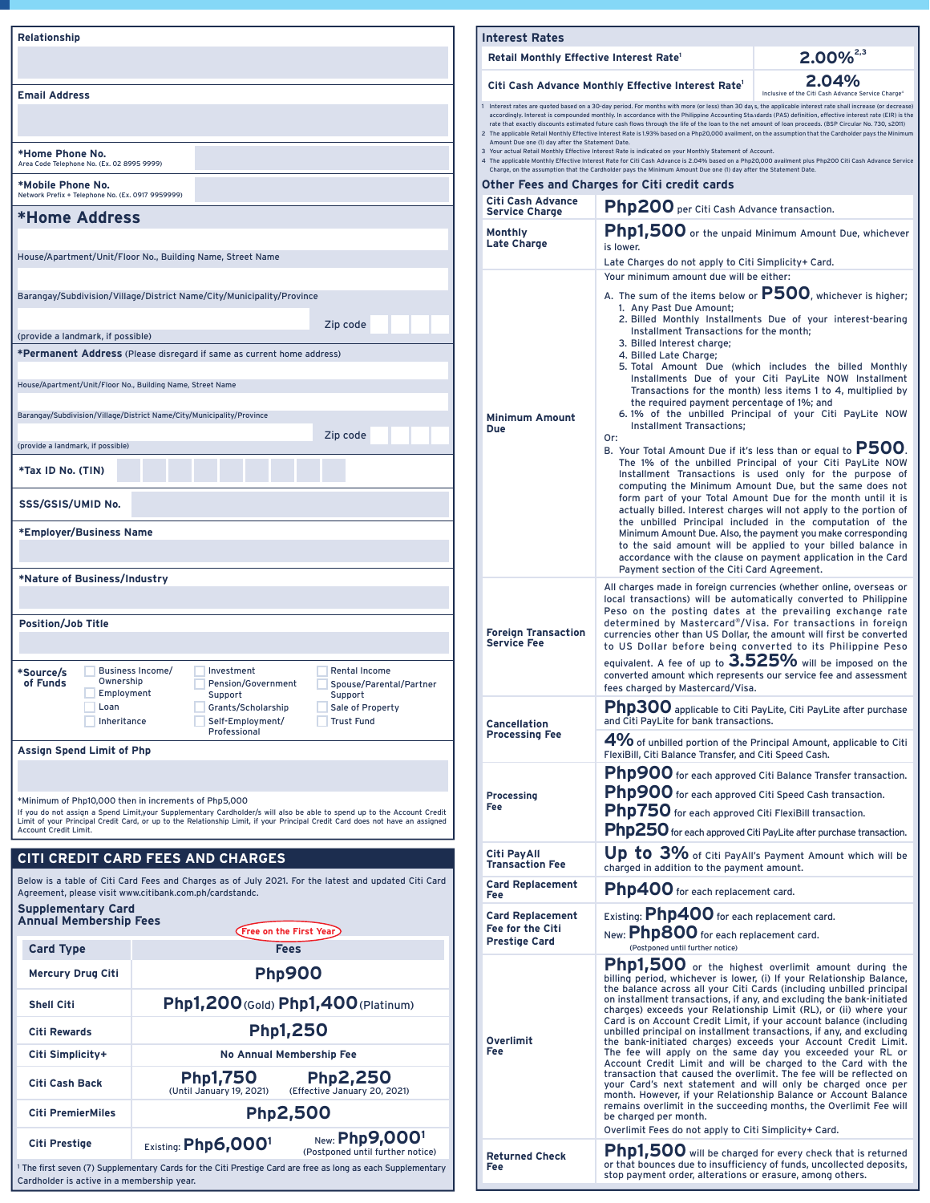| <b>Relationship</b>                                                                                                                                                                                                                                                                   |                                                                                                                               | <b>Interest Rates</b>                                                                                                                                                                                                                                                                       |                                                                                                                                                                                                                                                                                                                                                                        |                                                                                                                                                                                  |
|---------------------------------------------------------------------------------------------------------------------------------------------------------------------------------------------------------------------------------------------------------------------------------------|-------------------------------------------------------------------------------------------------------------------------------|---------------------------------------------------------------------------------------------------------------------------------------------------------------------------------------------------------------------------------------------------------------------------------------------|------------------------------------------------------------------------------------------------------------------------------------------------------------------------------------------------------------------------------------------------------------------------------------------------------------------------------------------------------------------------|----------------------------------------------------------------------------------------------------------------------------------------------------------------------------------|
|                                                                                                                                                                                                                                                                                       |                                                                                                                               | Retail Monthly Effective Interest Rate'                                                                                                                                                                                                                                                     |                                                                                                                                                                                                                                                                                                                                                                        | $2.00\%^{2,3}$                                                                                                                                                                   |
| <b>Email Address</b>                                                                                                                                                                                                                                                                  |                                                                                                                               |                                                                                                                                                                                                                                                                                             | Citi Cash Advance Monthly Effective Interest Rate'                                                                                                                                                                                                                                                                                                                     | 2.04%<br>Inclusive of the Citi Cash                                                                                                                                              |
|                                                                                                                                                                                                                                                                                       |                                                                                                                               |                                                                                                                                                                                                                                                                                             | 1 Interest rates are quoted based on a 30-day period. For months with more (or less) than 30 days, the applicable interest rate shall increase (or decrease<br>accordingly, Interest is compounded monthly, In accordance with the Philippine Accounting Standards (PAS) definition, effective interest rate (EIR) is the                                              |                                                                                                                                                                                  |
|                                                                                                                                                                                                                                                                                       |                                                                                                                               | Amount Due one (1) day after the Statement Date.                                                                                                                                                                                                                                            | rate that exactly discounts estimated future cash flows through the life of the loan to the net amount of loan proceeds. (BSP Circular No. 730, s2011)<br>2 The applicable Retail Monthly Effective Interest Rate is 1.93% based on a Php20,000 availment, on the assumption that the Cardholder pays the Minimun                                                      |                                                                                                                                                                                  |
| *Home Phone No.<br>Area Code Telephone No. (Ex. 02 8995 9999)                                                                                                                                                                                                                         |                                                                                                                               |                                                                                                                                                                                                                                                                                             | 3 Your actual Retail Monthly Effective Interest Rate is indicated on your Monthly Statement of Account<br>4 The applicable Monthly Effective Interest Rate for Citi Cash Advance is 2.04% based on a Php20,000 availment plus Php200 Citi Cash Advance Service                                                                                                         |                                                                                                                                                                                  |
| *Mobile Phone No.<br>Network Prefix + Telephone No. (Ex. 0917 9959999)                                                                                                                                                                                                                |                                                                                                                               | Charge, on the assumption that the Cardholder pays the Minimum Amount Due one (1) day after the Statement Date.<br>Other Fees and Charges for Citi credit cards                                                                                                                             |                                                                                                                                                                                                                                                                                                                                                                        |                                                                                                                                                                                  |
| <b>*Home Address</b>                                                                                                                                                                                                                                                                  |                                                                                                                               | <b>Citi Cash Advance</b><br><b>Service Charge</b>                                                                                                                                                                                                                                           | Php200 per Citi Cash Advance transaction.                                                                                                                                                                                                                                                                                                                              |                                                                                                                                                                                  |
|                                                                                                                                                                                                                                                                                       |                                                                                                                               | Monthly<br><b>Late Charge</b>                                                                                                                                                                                                                                                               | Php1,500 or the unpaid Minimum Amount Due, whichever                                                                                                                                                                                                                                                                                                                   |                                                                                                                                                                                  |
|                                                                                                                                                                                                                                                                                       | House/Apartment/Unit/Floor No., Building Name, Street Name                                                                    |                                                                                                                                                                                                                                                                                             | is lower.<br>Late Charges do not apply to Citi Simplicity+ Card.                                                                                                                                                                                                                                                                                                       |                                                                                                                                                                                  |
|                                                                                                                                                                                                                                                                                       | Barangay/Subdivision/Village/District Name/City/Municipality/Province                                                         |                                                                                                                                                                                                                                                                                             | Your minimum amount due will be either:<br>A. The sum of the items below or P500, whichever is higher;                                                                                                                                                                                                                                                                 |                                                                                                                                                                                  |
|                                                                                                                                                                                                                                                                                       | Zip code                                                                                                                      |                                                                                                                                                                                                                                                                                             | 1. Any Past Due Amount;                                                                                                                                                                                                                                                                                                                                                | 2. Billed Monthly Installments Due of your interest-bearing                                                                                                                      |
| (provide a landmark, if possible)                                                                                                                                                                                                                                                     |                                                                                                                               |                                                                                                                                                                                                                                                                                             | Installment Transactions for the month;<br>3. Billed Interest charge;                                                                                                                                                                                                                                                                                                  |                                                                                                                                                                                  |
|                                                                                                                                                                                                                                                                                       | <b>*Permanent Address</b> (Please disregard if same as current home address)                                                  |                                                                                                                                                                                                                                                                                             | 4. Billed Late Charge:<br>5. Total Amount Due (which includes the billed Monthly<br>Installments Due of your Citi PayLite NOW Installment<br>Transactions for the month) less items 1 to 4, multiplied by<br>the required payment percentage of 1%; and<br>6.1% of the unbilled Principal of your Citi PayLite NOW<br>Installment Transactions;                        |                                                                                                                                                                                  |
| House/Apartment/Unit/Floor No., Building Name, Street Name                                                                                                                                                                                                                            |                                                                                                                               |                                                                                                                                                                                                                                                                                             |                                                                                                                                                                                                                                                                                                                                                                        |                                                                                                                                                                                  |
|                                                                                                                                                                                                                                                                                       | Barangay/Subdivision/Village/District Name/City/Municipality/Province                                                         | <b>Minimum Amount</b>                                                                                                                                                                                                                                                                       |                                                                                                                                                                                                                                                                                                                                                                        |                                                                                                                                                                                  |
| (provide a landmark, if possible)                                                                                                                                                                                                                                                     | Zip code                                                                                                                      | <b>Due</b>                                                                                                                                                                                                                                                                                  | Or:<br>B. Your Total Amount Due if it's less than or equal to $\mathbf{P500}$ .                                                                                                                                                                                                                                                                                        |                                                                                                                                                                                  |
| *Tax ID No. (TIN)                                                                                                                                                                                                                                                                     |                                                                                                                               |                                                                                                                                                                                                                                                                                             |                                                                                                                                                                                                                                                                                                                                                                        | The 1% of the unbilled Principal of your Citi PayLite NOW<br>Installment Transactions is used only for the purpose of<br>computing the Minimum Amount Due, but the same does not |
| SSS/GSIS/UMID No.                                                                                                                                                                                                                                                                     |                                                                                                                               |                                                                                                                                                                                                                                                                                             |                                                                                                                                                                                                                                                                                                                                                                        | form part of your Total Amount Due for the month until it is<br>actually billed. Interest charges will not apply to the portion of                                               |
| the unbilled Principal included in the computation of the<br>*Employer/Business Name<br>Minimum Amount Due. Also, the payment you make corresponding<br>to the said amount will be applied to your billed balance in<br>accordance with the clause on payment application in the Card |                                                                                                                               |                                                                                                                                                                                                                                                                                             |                                                                                                                                                                                                                                                                                                                                                                        |                                                                                                                                                                                  |
| *Nature of Business/Industry                                                                                                                                                                                                                                                          |                                                                                                                               |                                                                                                                                                                                                                                                                                             | Payment section of the Citi Card Agreement.                                                                                                                                                                                                                                                                                                                            | All charges made in foreign currencies (whether online, overseas or                                                                                                              |
|                                                                                                                                                                                                                                                                                       |                                                                                                                               | <b>Foreign Transaction</b><br><b>Service Fee</b>                                                                                                                                                                                                                                            | local transactions) will be automatically converted to Philippine<br>Peso on the posting dates at the prevailing exchange rate<br>determined by Mastercard®/Visa. For transactions in foreign<br>currencies other than US Dollar, the amount will first be converted                                                                                                   |                                                                                                                                                                                  |
| <b>Position/Job Title</b>                                                                                                                                                                                                                                                             |                                                                                                                               |                                                                                                                                                                                                                                                                                             |                                                                                                                                                                                                                                                                                                                                                                        |                                                                                                                                                                                  |
|                                                                                                                                                                                                                                                                                       |                                                                                                                               |                                                                                                                                                                                                                                                                                             |                                                                                                                                                                                                                                                                                                                                                                        | to US Dollar before being converted to its Philippine Peso<br>equivalent. A fee of up to 3.525% will be imposed on the                                                           |
| *Source/s<br>Ownership<br>of Funds                                                                                                                                                                                                                                                    | Business Income/<br>Investment<br><b>Rental Income</b><br>Pension/Government<br>Spouse/Parental/Partner                       |                                                                                                                                                                                                                                                                                             | fees charged by Mastercard/Visa.                                                                                                                                                                                                                                                                                                                                       | converted amount which represents our service fee and assessment                                                                                                                 |
| Employment<br>Loan                                                                                                                                                                                                                                                                    | Support<br>Support<br>Grants/Scholarship<br>Sale of Property                                                                  | <b>Cancellation</b><br><b>Processing Fee</b>                                                                                                                                                                                                                                                |                                                                                                                                                                                                                                                                                                                                                                        | Php300 applicable to Citi PayLite, Citi PayLite after purchase                                                                                                                   |
| Inheritance                                                                                                                                                                                                                                                                           | Self-Employment/<br><b>Trust Fund</b><br>Professional                                                                         |                                                                                                                                                                                                                                                                                             | and Citi PayLite for bank transactions.                                                                                                                                                                                                                                                                                                                                | 4% of unbilled portion of the Principal Amount, applicable to Citi                                                                                                               |
| <b>Assign Spend Limit of Php</b>                                                                                                                                                                                                                                                      |                                                                                                                               |                                                                                                                                                                                                                                                                                             | FlexiBill, Citi Balance Transfer, and Citi Speed Cash.                                                                                                                                                                                                                                                                                                                 |                                                                                                                                                                                  |
|                                                                                                                                                                                                                                                                                       |                                                                                                                               |                                                                                                                                                                                                                                                                                             | Php900 for each approved Citi Speed Cash transaction.                                                                                                                                                                                                                                                                                                                  | Php900 for each approved Citi Balance Transfer transaction.                                                                                                                      |
| *Minimum of Php10,000 then in increments of Php5,000<br>If you do not assign a Spend Limit,your Supplementary Cardholder/s will also be able to spend up to the Account Credit                                                                                                        |                                                                                                                               | <b>Processing</b><br>Fee                                                                                                                                                                                                                                                                    | Php750 for each approved Citi FlexiBill transaction.                                                                                                                                                                                                                                                                                                                   |                                                                                                                                                                                  |
| Account Credit Limit.                                                                                                                                                                                                                                                                 | Limit of your Principal Credit Card, or up to the Relationship Limit, if your Principal Credit Card does not have an assigned |                                                                                                                                                                                                                                                                                             |                                                                                                                                                                                                                                                                                                                                                                        | Php250 for each approved Citi PayLite after purchase transaction.                                                                                                                |
|                                                                                                                                                                                                                                                                                       | CITI CREDIT CARD FEES AND CHARGES                                                                                             | <b>Citi PayAll</b><br><b>Transaction Fee</b>                                                                                                                                                                                                                                                | charged in addition to the payment amount.                                                                                                                                                                                                                                                                                                                             | Up to 3% of Citi PayAll's Payment Amount which will be                                                                                                                           |
| Below is a table of Citi Card Fees and Charges as of July 2021. For the latest and updated Citi Card<br>Agreement, please visit www.citibank.com.ph/cardstandc.                                                                                                                       |                                                                                                                               | <b>Card Replacement</b><br><b>Fee</b>                                                                                                                                                                                                                                                       | Php400 for each replacement card.                                                                                                                                                                                                                                                                                                                                      |                                                                                                                                                                                  |
| <b>Supplementary Card</b><br><b>Annual Membership Fees</b>                                                                                                                                                                                                                            | Free on the First Year                                                                                                        | <b>Card Replacement</b><br>Fee for the Citi<br><b>Prestige Card</b>                                                                                                                                                                                                                         | Existing: Php400 for each replacement card.<br>New: Php800 for each replacement card.<br>(Postponed until further notice)                                                                                                                                                                                                                                              |                                                                                                                                                                                  |
| <b>Card Type</b>                                                                                                                                                                                                                                                                      | <b>Fees</b>                                                                                                                   |                                                                                                                                                                                                                                                                                             |                                                                                                                                                                                                                                                                                                                                                                        | Php1,500 or the highest overlimit amount during the                                                                                                                              |
| <b>Mercury Drug Citi</b><br><b>Shell Citi</b>                                                                                                                                                                                                                                         | <b>Php900</b><br>Php1,200 (Gold) Php1,400 (Platinum)                                                                          | billing period, whichever is lower, (i) If your Relationship Balance,<br>the balance across all your Citi Cards (including unbilled principal<br>on installment transactions, if any, and excluding the bank-initiated<br>charges) exceeds your Relationship Limit (RL), or (ii) where your |                                                                                                                                                                                                                                                                                                                                                                        |                                                                                                                                                                                  |
| <b>Citi Rewards</b>                                                                                                                                                                                                                                                                   | <b>Php1,250</b>                                                                                                               |                                                                                                                                                                                                                                                                                             |                                                                                                                                                                                                                                                                                                                                                                        | Card is on Account Credit Limit, if your account balance (including<br>unbilled principal on installment transactions, if any, and excluding                                     |
| Citi Simplicity+                                                                                                                                                                                                                                                                      | No Annual Membership Fee                                                                                                      | Overlimit<br>Fee                                                                                                                                                                                                                                                                            |                                                                                                                                                                                                                                                                                                                                                                        | the bank-initiated charges) exceeds your Account Credit Limit.<br>The fee will apply on the same day you exceeded your RL or                                                     |
| Citi Cash Back                                                                                                                                                                                                                                                                        | <b>Php1,750</b><br><b>Php2,250</b><br>(Effective January 20, 2021)<br>(Until January 19, 2021)                                |                                                                                                                                                                                                                                                                                             | Account Credit Limit and will be charged to the Card with the<br>transaction that caused the overlimit. The fee will be reflected on<br>your Card's next statement and will only be charged once per<br>month. However, if your Relationship Balance or Account Balance<br>remains overlimit in the succeeding months, the Overlimit Fee will<br>be charged per month. |                                                                                                                                                                                  |
| <b>Citi PremierMiles</b>                                                                                                                                                                                                                                                              | <b>Php2,500</b>                                                                                                               |                                                                                                                                                                                                                                                                                             |                                                                                                                                                                                                                                                                                                                                                                        |                                                                                                                                                                                  |
| <b>Citi Prestige</b>                                                                                                                                                                                                                                                                  | New: Php9,000 <sup>1</sup><br>Existing: Php6,0001<br>(Postponed until further notice)                                         | <b>Returned Check</b>                                                                                                                                                                                                                                                                       | Overlimit Fees do not apply to Citi Simplicity+ Card.                                                                                                                                                                                                                                                                                                                  | Php1,500 will be charged for every check that is returned                                                                                                                        |
| Cardholder is active in a membership year.                                                                                                                                                                                                                                            | The first seven (7) Supplementary Cards for the Citi Prestige Card are free as long as each Supplementary                     | <b>Fee</b>                                                                                                                                                                                                                                                                                  | stop payment order, alterations or erasure, among others.                                                                                                                                                                                                                                                                                                              | or that bounces due to insufficiency of funds, uncollected deposits,                                                                                                             |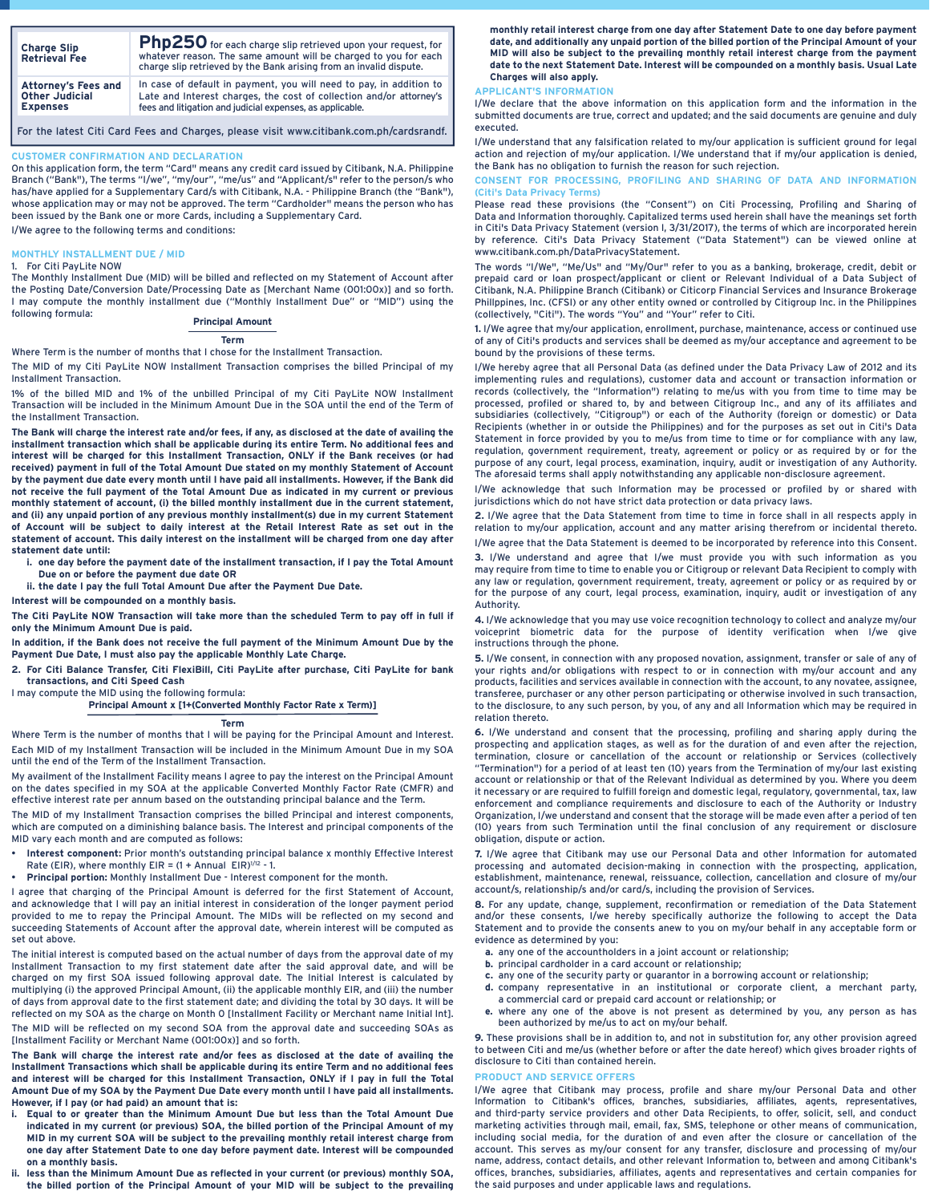| <b>Charge Slip</b>         | Php250 for each charge slip retrieved upon your request, for whatever reason. The same amount will be charged to you for each |
|----------------------------|-------------------------------------------------------------------------------------------------------------------------------|
| Retrieval Fee              | charge slip retrieved by the Bank arising from an invalid dispute.                                                            |
| <b>Attorney's Fees and</b> | In case of default in payment, you will need to pay, in addition to                                                           |
| <b>Other Judicial</b>      | Late and Interest charges, the cost of collection and/or attorney's                                                           |
| <b>Expenses</b>            | fees and litigation and judicial expenses, as applicable.                                                                     |

For the latest Citi Card Fees and Charges, please visit www.citibank.com.ph/cardsrandf.

## **CUSTOMER CONFIRMATION AND DECLARATION**

On this application form, the term "Card" means any credit card issued by Citibank, N.A. Philippine Branch ("Bank"), The terms "I/we", "my/our", "me/us" and "Applicant/s" refer to the person/s who has/have applied for a Supplementary Card/s with Citibank, N.A. - Philippine Branch (the "Bank"), whose application may or may not be approved. The term "Cardholder" means the person who has been issued by the Bank one or more Cards, including a Supplementary Card.

I/We agree to the following terms and conditions:

# **MONTHLY INSTALLMENT DUE / MID**

# 1. For Citi PayLite NOW

The Monthly Installment Due (MID) will be billed and reflected on my Statement of Account after the Posting Date/Conversion Date/Processing Date as [Merchant Name (001:00x)] and so forth. I may compute the monthly installment due ("Monthly Installment Due" or "MID") using the following formula:

# **Principal Amount Term**

Where Term is the number of months that I chose for the Installment Transaction.

The MID of my Citi PayLite NOW Installment Transaction comprises the billed Principal of my Installment Transaction.

1% of the billed MID and 1% of the unbilled Principal of my Citi PayLite NOW Installment Transaction will be included in the Minimum Amount Due in the SOA until the end of the Term of the Installment Transaction.

**The Bank will charge the interest rate and/or fees, if any, as disclosed at the date of availing the installment transaction which shall be applicable during its entire Term. No additional fees and interest will be charged for this Installment Transaction, ONLY if the Bank receives (or had received) payment in full of the Total Amount Due stated on my monthly Statement of Account by the payment due date every month until I have paid all installments. However, if the Bank did not receive the full payment of the Total Amount Due as indicated in my current or previous monthly statement of account, (i) the billed monthly installment due in the current statement, and (ii) any unpaid portion of any previous monthly installment(s) due in my current Statement of Account will be subject to daily interest at the Retail Interest Rate as set out in the statement of account. This daily interest on the installment will be charged from one day after statement date until:**

- **i. one day before the payment date of the installment transaction, if I pay the Total Amount Due on or before the payment due date OR**
- **ii. the date I pay the full Total Amount Due after the Payment Due Date.**

**Interest will be compounded on a monthly basis.**

**The Citi PayLite NOW Transaction will take more than the scheduled Term to pay off in full if only the Minimum Amount Due is paid.** 

**In addition, if the Bank does not receive the full payment of the Minimum Amount Due by the Payment Due Date, I must also pay the applicable Monthly Late Charge.** 

**2. For Citi Balance Transfer, Citi FlexiBill, Citi PayLite after purchase, Citi PayLite for bank transactions, and Citi Speed Cash**

I may compute the MID using the following formula:

## **Principal Amount x [1+(Converted Monthly Factor Rate x Term)]**

#### **Term**

Where Term is the number of months that I will be paying for the Principal Amount and Interest. Each MID of my Installment Transaction will be included in the Minimum Amount Due in my SOA until the end of the Term of the Installment Transaction.

My availment of the Installment Facility means I agree to pay the interest on the Principal Amount on the dates specified in my SOA at the applicable Converted Monthly Factor Rate (CMFR) and effective interest rate per annum based on the outstanding principal balance and the Term.

The MID of my Installment Transaction comprises the billed Principal and interest components, which are computed on a diminishing balance basis. The Interest and principal components of the MID vary each month and are computed as follows:

- **Interest component:** Prior month's outstanding principal balance x monthly Effective Interest Rate (EIR), where monthly EIR = (1 + Annual EIR)1/12 - 1.
- **Principal portion:** Monthly Installment Due Interest component for the month.

I agree that charging of the Principal Amount is deferred for the first Statement of Account, and acknowledge that I will pay an initial interest in consideration of the longer payment period provided to me to repay the Principal Amount. The MIDs will be reflected on my second and succeeding Statements of Account after the approval date, wherein interest will be computed as set out above.

The initial interest is computed based on the actual number of days from the approval date of my Installment Transaction to my first statement date after the said approval date, and will be charged on my first SOA issued following approval date. The Initial Interest is calculated by multiplying (i) the approved Principal Amount, (ii) the applicable monthly EIR, and (iii) the number of days from approval date to the first statement date; and dividing the total by 30 days. It will be reflected on my SOA as the charge on Month 0 [Installment Facility or Merchant name Initial Int]. The MID will be reflected on my second SOA from the approval date and succeeding SOAs as [Installment Facility or Merchant Name (001:00x)] and so forth.

**The Bank will charge the interest rate and/or fees as disclosed at the date of availing the Installment Transactions which shall be applicable during its entire Term and no additional fees and interest will be charged for this Installment Transaction, ONLY if I pay in full the Total Amount Due of my SOA by the Payment Due Date every month until I have paid all installments. However, if I pay (or had paid) an amount that is:**

- **i. Equal to or greater than the Minimum Amount Due but less than the Total Amount Due indicated in my current (or previous) SOA, the billed portion of the Principal Amount of my MID in my current SOA will be subject to the prevailing monthly retail interest charge from one day after Statement Date to one day before payment date. Interest will be compounded on a monthly basis.**
- **ii. less than the Minimum Amount Due as reflected in your current (or previous) monthly SOA, the billed portion of the Principal Amount of your MID will be subject to the prevailing**

 **monthly retail interest charge from one day after Statement Date to one day before payment date, and additionally any unpaid portion of the billed portion of the Principal Amount of your MID will also be subject to the prevailing monthly retail interest charge from the payment date to the next Statement Date. Interest will be compounded on a monthly basis. Usual Late Charges will also apply.**

### **APPLICANT'S INFORMATION**

I/We declare that the above information on this application form and the information in the submitted documents are true, correct and updated; and the said documents are genuine and duly executed.

I/We understand that any falsification related to my/our application is sufficient ground for legal action and rejection of my/our application. I/We understand that if my/our application is denied, the Bank has no obligation to furnish the reason for such rejection.

**CONSENT FOR PROCESSING, PROFILING AND SHARING OF DATA AND INFORMATION (Citi's Data Privacy Terms)**

Please read these provisions (the "Consent") on Citi Processing, Profiling and Sharing of Data and Information thoroughly. Capitalized terms used herein shall have the meanings set forth in Citi's Data Privacy Statement (version I, 3/31/2017), the terms of which are incorporated herein by reference. Citi's Data Privacy Statement ("Data Statement") can be viewed online at www.citibank.com.ph/DataPrivacyStatement.

The words "I/We", "Me/Us" and "My/Our" refer to you as a banking, brokerage, credit, debit or prepaid card or loan prospect/applicant or client or Relevant Individual of a Data Subject of Citibank, N.A. Philippine Branch (Citibank) or Citicorp Financial Services and Insurance Brokerage Phillppines, Inc. (CFSI) or any other entity owned or controlled by Citigroup Inc. in the Philippines (collectively, "Citi"). The words "You" and "Your" refer to Citi.

**1.** I/We agree that my/our application, enrollment, purchase, maintenance, access or continued use of any of Citi's products and services shall be deemed as my/our acceptance and agreement to be bound by the provisions of these terms.

I/We hereby agree that all Personal Data (as defined under the Data Privacy Law of 2012 and its implementing rules and regulations), customer data and account or transaction information or records (collectively, the "Information") relating to me/us with you from time to time may be processed, profiled or shared to, by and between Citigroup Inc., and any of its affiliates and subsidiaries (collectively, "Citigroup") or each of the Authority (foreign or domestic) or Data Recipients (whether in or outside the Philippines) and for the purposes as set out in Citi's Data Statement in force provided by you to me/us from time to time or for compliance with any law, regulation, government requirement, treaty, agreement or policy or as required by or for the purpose of any court, legal process, examination, inquiry, audit or investigation of any Authority. The aforesaid terms shall apply notwithstanding any applicable non-disclosure agreement.

I/We acknowledge that such Information may be processed or profiled by or shared with jurisdictions which do not have strict data protection or data privacy laws.

**2.** I/We agree that the Data Statement from time to time in force shall in all respects apply in relation to my/our application, account and any matter arising therefrom or incidental thereto. I/We agree that the Data Statement is deemed to be incorporated by reference into this Consent.

**3.** I/We understand and agree that I/we must provide you with such information as you may require from time to time to enable you or Citigroup or relevant Data Recipient to comply with any law or regulation, government requirement, treaty, agreement or policy or as required by or for the purpose of any court, legal process, examination, inquiry, audit or investigation of any Authority.

**4.** I/We acknowledge that you may use voice recognition technology to collect and analyze my/our voiceprint biometric data for the purpose of identity verification when I/we give instructions through the phone.

**5.** I/We consent, in connection with any proposed novation, assignment, transfer or sale of any of your rights and/or obligations with respect to or in connection with my/our account and any products, facilities and services available in connection with the account, to any novatee, assignee, transferee, purchaser or any other person participating or otherwise involved in such transaction, to the disclosure, to any such person, by you, of any and all Information which may be required in relation thereto.

**6.** I/We understand and consent that the processing, profiling and sharing apply during the prospecting and application stages, as well as for the duration of and even after the rejection, termination, closure or cancellation of the account or relationship or Services (collectively "Termination") for a period of at least ten (10) years from the Termination of my/our last existing account or relationship or that of the Relevant Individual as determined by you. Where you deem it necessary or are required to fulfill foreign and domestic legal, regulatory, governmental, tax, law enforcement and compliance requirements and disclosure to each of the Authority or Industry Organization, I/we understand and consent that the storage will be made even after a period of ten (10) years from such Termination until the final conclusion of any requirement or disclosure obligation, dispute or action.

**7.** I/We agree that Citibank may use our Personal Data and other Information for automated processing and automated decision-making in connection with the prospecting, application, establishment, maintenance, renewal, reissuance, collection, cancellation and closure of my/our account/s, relationship/s and/or card/s, including the provision of Services.

**8.** For any update, change, supplement, reconfirmation or remediation of the Data Statement and/or these consents, I/we hereby specifically authorize the following to accept the Data Statement and to provide the consents anew to you on my/our behalf in any acceptable form or evidence as determined by you:

- **a.** any one of the accountholders in a joint account or relationship;
- **b.** principal cardholder in a card account or relationship;
- **c.** any one of the security party or guarantor in a borrowing account or relationship;
- **d.** company representative in an institutional or corporate client, a merchant party, a commercial card or prepaid card account or relationship; or
- **e.** where any one of the above is not present as determined by you, any person as has been authorized by me/us to act on my/our behalf.

**9.** These provisions shall be in addition to, and not in substitution for, any other provision agreed to between Citi and me/us (whether before or after the date hereof) which gives broader rights of disclosure to Citi than contained herein.

## **PRODUCT AND SERVICE OFFERS**

I/We agree that Citibank may process, profile and share my/our Personal Data and other Information to Citibank's offices, branches, subsidiaries, affiliates, agents, representatives, and third-party service providers and other Data Recipients, to offer, solicit, sell, and conduct marketing activities through mail, email, fax, SMS, telephone or other means of communication, including social media, for the duration of and even after the closure or cancellation of the account. This serves as my/our consent for any transfer, disclosure and processing of my/our name, address, contact details, and other relevant Information to, between and among Citibank's offices, branches, subsidiaries, affiliates, agents and representatives and certain companies for the said purposes and under applicable laws and regulations.